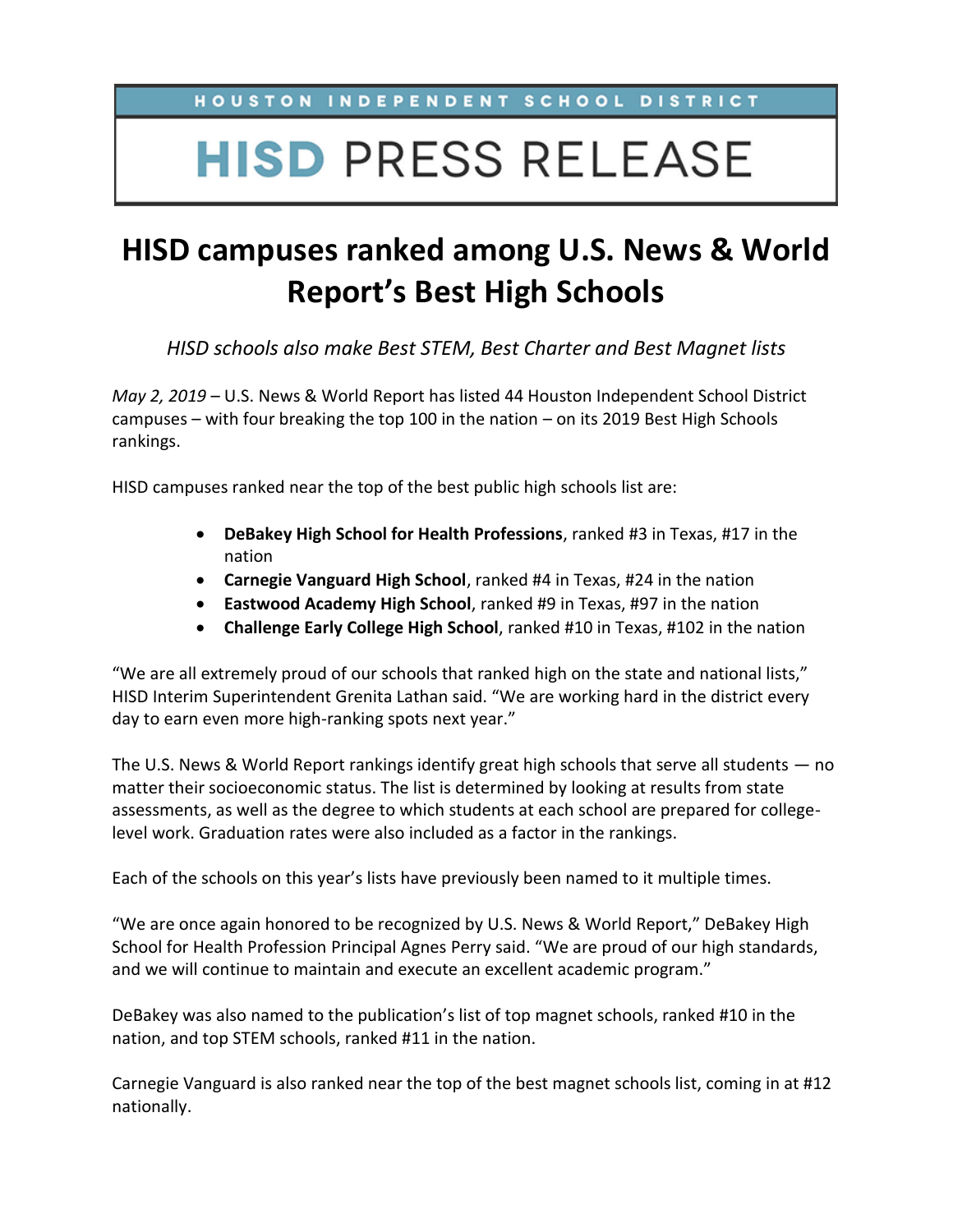### HOUSTON INDEPENDENT SCHOOL DISTRICT

# **HISD PRESS RELEASE**

## **HISD campuses ranked among U.S. News & World Report's Best High Schools**

*HISD schools also make Best STEM, Best Charter and Best Magnet lists*

*May 2, 2019* – U.S. News & World Report has listed 44 Houston Independent School District campuses – with four breaking the top 100 in the nation – on its 2019 Best High Schools rankings.

HISD campuses ranked near the top of the best public high schools list are:

- **DeBakey High School for Health Professions**, ranked #3 in Texas, #17 in the nation
- **Carnegie Vanguard High School**, ranked #4 in Texas, #24 in the nation
- **Eastwood Academy High School**, ranked #9 in Texas, #97 in the nation
- **Challenge Early College High School**, ranked #10 in Texas, #102 in the nation

"We are all extremely proud of our schools that ranked high on the state and national lists," HISD Interim Superintendent Grenita Lathan said. "We are working hard in the district every day to earn even more high-ranking spots next year."

The U.S. News & World Report rankings identify great high schools that serve all students — no matter their socioeconomic status. The list is determined by looking at results from state assessments, as well as the degree to which students at each school are prepared for collegelevel work. Graduation rates were also included as a factor in the rankings.

Each of the schools on this year's lists have previously been named to it multiple times.

"We are once again honored to be recognized by U.S. News & World Report," DeBakey High School for Health Profession Principal Agnes Perry said. "We are proud of our high standards, and we will continue to maintain and execute an excellent academic program."

DeBakey was also named to the publication's list of top magnet schools, ranked #10 in the nation, and top STEM schools, ranked #11 in the nation.

Carnegie Vanguard is also ranked near the top of the best magnet schools list, coming in at #12 nationally.